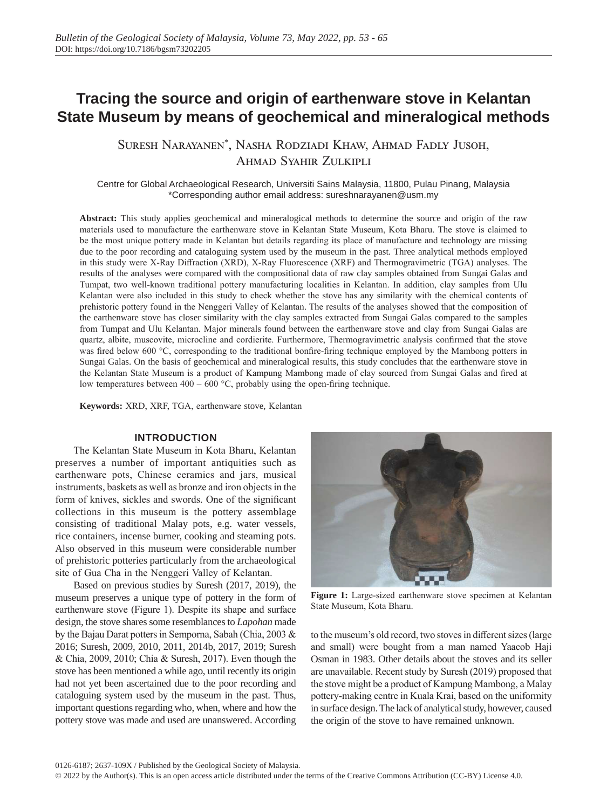# **Tracing the source and origin of earthenware stove in Kelantan State Museum by means of geochemical and mineralogical methods**

Suresh Narayanen\* , Nasha Rodziadi Khaw, Ahmad Fadly Jusoh, Ahmad Syahir Zulkipli

Centre for Global Archaeological Research, Universiti Sains Malaysia, 11800, Pulau Pinang, Malaysia \*Corresponding author email address: sureshnarayanen@usm.my

**Abstract:** This study applies geochemical and mineralogical methods to determine the source and origin of the raw materials used to manufacture the earthenware stove in Kelantan State Museum, Kota Bharu. The stove is claimed to be the most unique pottery made in Kelantan but details regarding its place of manufacture and technology are missing due to the poor recording and cataloguing system used by the museum in the past. Three analytical methods employed in this study were X-Ray Diffraction (XRD), X-Ray Fluorescence (XRF) and Thermogravimetric (TGA) analyses. The results of the analyses were compared with the compositional data of raw clay samples obtained from Sungai Galas and Tumpat, two well-known traditional pottery manufacturing localities in Kelantan. In addition, clay samples from Ulu Kelantan were also included in this study to check whether the stove has any similarity with the chemical contents of prehistoric pottery found in the Nenggeri Valley of Kelantan. The results of the analyses showed that the composition of the earthenware stove has closer similarity with the clay samples extracted from Sungai Galas compared to the samples from Tumpat and Ulu Kelantan. Major minerals found between the earthenware stove and clay from Sungai Galas are quartz, albite, muscovite, microcline and cordierite. Furthermore, Thermogravimetric analysis confirmed that the stove was fired below 600 °C, corresponding to the traditional bonfire-firing technique employed by the Mambong potters in Sungai Galas. On the basis of geochemical and mineralogical results, this study concludes that the earthenware stove in the Kelantan State Museum is a product of Kampung Mambong made of clay sourced from Sungai Galas and fired at low temperatures between 400 – 600 °C, probably using the open-firing technique.

**Keywords:** XRD, XRF, TGA, earthenware stove, Kelantan

#### **INTRODUCTION**

The Kelantan State Museum in Kota Bharu, Kelantan preserves a number of important antiquities such as earthenware pots, Chinese ceramics and jars, musical instruments, baskets as well as bronze and iron objects in the form of knives, sickles and swords. One of the significant collections in this museum is the pottery assemblage consisting of traditional Malay pots, e.g. water vessels, rice containers, incense burner, cooking and steaming pots. Also observed in this museum were considerable number of prehistoric potteries particularly from the archaeological site of Gua Cha in the Nenggeri Valley of Kelantan.

Based on previous studies by Suresh (2017, 2019), the museum preserves a unique type of pottery in the form of earthenware stove (Figure 1). Despite its shape and surface design, the stove shares some resemblances to *Lapohan* made by the Bajau Darat potters in Semporna, Sabah (Chia, 2003 & 2016; Suresh, 2009, 2010, 2011, 2014b, 2017, 2019; Suresh & Chia, 2009, 2010; Chia & Suresh, 2017). Even though the stove has been mentioned a while ago, until recently its origin had not yet been ascertained due to the poor recording and cataloguing system used by the museum in the past. Thus, important questions regarding who, when, where and how the pottery stove was made and used are unanswered. According



**Figure 1:** Large-sized earthenware stove specimen at Kelantan State Museum, Kota Bharu.

to the museum's old record, two stoves in different sizes (large and small) were bought from a man named Yaacob Haji Osman in 1983. Other details about the stoves and its seller are unavailable. Recent study by Suresh (2019) proposed that the stove might be a product of Kampung Mambong, a Malay pottery-making centre in Kuala Krai, based on the uniformity in surface design. The lack of analytical study, however, caused the origin of the stove to have remained unknown.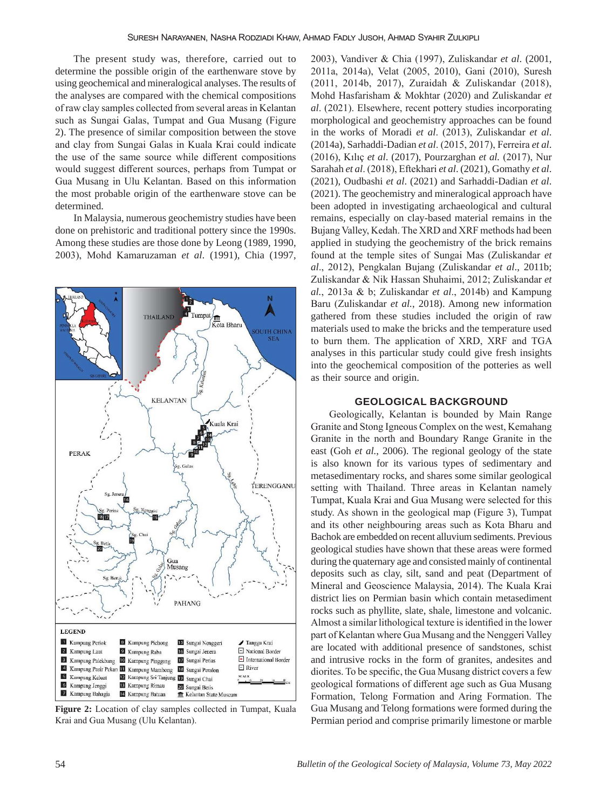The present study was, therefore, carried out to determine the possible origin of the earthenware stove by using geochemical and mineralogical analyses. The results of the analyses are compared with the chemical compositions of raw clay samples collected from several areas in Kelantan such as Sungai Galas, Tumpat and Gua Musang (Figure 2). The presence of similar composition between the stove and clay from Sungai Galas in Kuala Krai could indicate the use of the same source while different compositions would suggest different sources, perhaps from Tumpat or Gua Musang in Ulu Kelantan. Based on this information the most probable origin of the earthenware stove can be determined.

In Malaysia, numerous geochemistry studies have been done on prehistoric and traditional pottery since the 1990s. Among these studies are those done by Leong (1989, 1990, 2003), Mohd Kamaruzaman *et al*. (1991), Chia (1997,



**Figure 2:** Location of clay samples collected in Tumpat, Kuala Krai and Gua Musang (Ulu Kelantan).

2003), Vandiver & Chia (1997), Zuliskandar *et al*. (2001, 2011a, 2014a), Velat (2005, 2010), Gani (2010), Suresh (2011, 2014b, 2017), Zuraidah & Zuliskandar (2018), Mohd Hasfarisham & Mokhtar (2020) and Zuliskandar *et al*. (2021). Elsewhere, recent pottery studies incorporating morphological and geochemistry approaches can be found in the works of Moradi *et al*. (2013), Zuliskandar *et al*. (2014a), Sarhaddi-Dadian *et al*. (2015, 2017), Ferreira *et al*. (2016), Kılıç *et al*. (2017), Pourzarghan *et al.* (2017), Nur Sarahah *et al*. (2018), Eftekhari *et al*. (2021), Gomathy *et al*. (2021), Oudbashi *et al*. (2021) and Sarhaddi-Dadian *et al*. (2021). The geochemistry and mineralogical approach have been adopted in investigating archaeological and cultural remains, especially on clay-based material remains in the Bujang Valley, Kedah. The XRD and XRF methods had been applied in studying the geochemistry of the brick remains found at the temple sites of Sungai Mas (Zuliskandar *et al*., 2012), Pengkalan Bujang (Zuliskandar *et al*., 2011b; Zuliskandar & Nik Hassan Shuhaimi, 2012; Zuliskandar *et al.*, 2013a & b; Zuliskandar *et al*., 2014b) and Kampung Baru (Zuliskandar *et al.*, 2018). Among new information gathered from these studies included the origin of raw materials used to make the bricks and the temperature used to burn them. The application of XRD, XRF and TGA analyses in this particular study could give fresh insights into the geochemical composition of the potteries as well as their source and origin.

#### **GEOLOGICAL BACKGROUND**

Geologically, Kelantan is bounded by Main Range Granite and Stong Igneous Complex on the west, Kemahang Granite in the north and Boundary Range Granite in the east (Goh *et al.*, 2006). The regional geology of the state is also known for its various types of sedimentary and metasedimentary rocks, and shares some similar geological setting with Thailand. Three areas in Kelantan namely Tumpat, Kuala Krai and Gua Musang were selected for this study. As shown in the geological map (Figure 3), Tumpat and its other neighbouring areas such as Kota Bharu and Bachok are embedded on recent alluvium sediments. Previous geological studies have shown that these areas were formed during the quaternary age and consisted mainly of continental deposits such as clay, silt, sand and peat (Department of Mineral and Geoscience Malaysia, 2014). The Kuala Krai district lies on Permian basin which contain metasediment rocks such as phyllite, slate, shale, limestone and volcanic. Almost a similar lithological texture is identified in the lower part of Kelantan where Gua Musang and the Nenggeri Valley are located with additional presence of sandstones, schist and intrusive rocks in the form of granites, andesites and diorites. To be specific, the Gua Musang district covers a few geological formations of different age such as Gua Musang Formation, Telong Formation and Aring Formation. The Gua Musang and Telong formations were formed during the Permian period and comprise primarily limestone or marble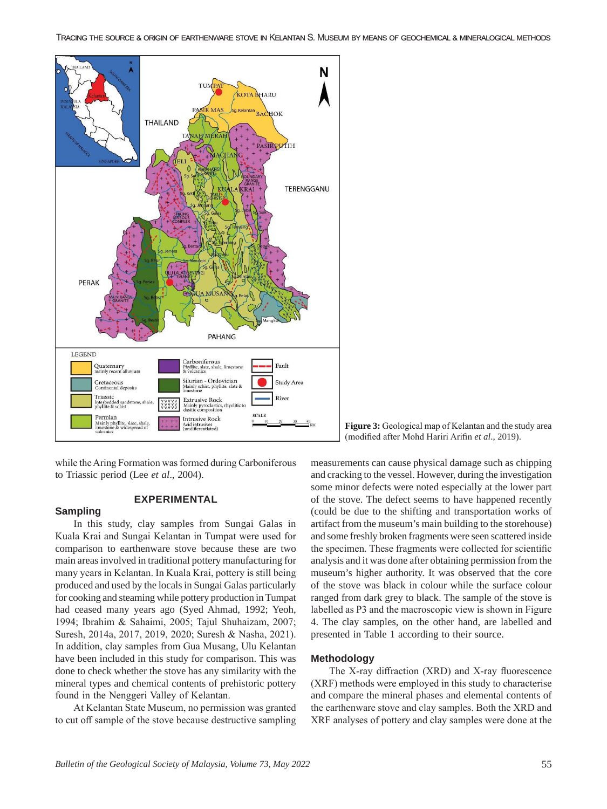

while the Aring Formation was formed during Carboniferous to Triassic period (Lee *et al*., 2004).

**EXPERIMENTAL**

# **Sampling**

In this study, clay samples from Sungai Galas in Kuala Krai and Sungai Kelantan in Tumpat were used for comparison to earthenware stove because these are two main areas involved in traditional pottery manufacturing for many years in Kelantan. In Kuala Krai, pottery is still being produced and used by the locals in Sungai Galas particularly for cooking and steaming while pottery production in Tumpat had ceased many years ago (Syed Ahmad, 1992; Yeoh, 1994; Ibrahim & Sahaimi, 2005; Tajul Shuhaizam, 2007; Suresh, 2014a, 2017, 2019, 2020; Suresh & Nasha, 2021). In addition, clay samples from Gua Musang, Ulu Kelantan have been included in this study for comparison. This was done to check whether the stove has any similarity with the mineral types and chemical contents of prehistoric pottery found in the Nenggeri Valley of Kelantan.

At Kelantan State Museum, no permission was granted to cut off sample of the stove because destructive sampling

**Figure 3:** Geological map of Kelantan and the study area (modified after Mohd Hariri Arifin *et al*., 2019).

measurements can cause physical damage such as chipping and cracking to the vessel. However, during the investigation some minor defects were noted especially at the lower part of the stove. The defect seems to have happened recently (could be due to the shifting and transportation works of artifact from the museum's main building to the storehouse) and some freshly broken fragments were seen scattered inside the specimen. These fragments were collected for scientific analysis and it was done after obtaining permission from the museum's higher authority. It was observed that the core of the stove was black in colour while the surface colour ranged from dark grey to black. The sample of the stove is labelled as P3 and the macroscopic view is shown in Figure 4. The clay samples, on the other hand, are labelled and presented in Table 1 according to their source.

#### **Methodology**

The X-ray diffraction (XRD) and X-ray fluorescence (XRF) methods were employed in this study to characterise and compare the mineral phases and elemental contents of the earthenware stove and clay samples. Both the XRD and XRF analyses of pottery and clay samples were done at the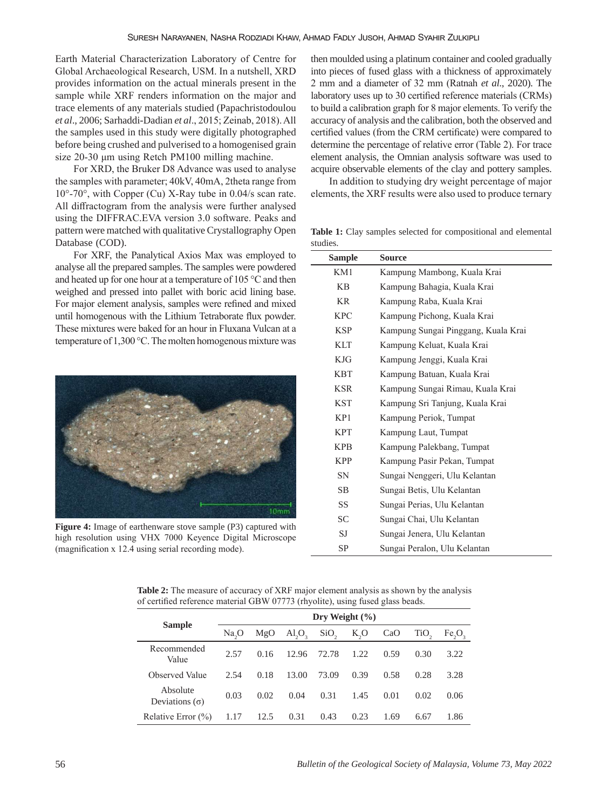Earth Material Characterization Laboratory of Centre for Global Archaeological Research, USM. In a nutshell, XRD provides information on the actual minerals present in the sample while XRF renders information on the major and trace elements of any materials studied (Papachristodoulou *et al*., 2006; Sarhaddi-Dadian *et al*., 2015; Zeinab, 2018). All the samples used in this study were digitally photographed before being crushed and pulverised to a homogenised grain size 20-30 μm using Retch PM100 milling machine.

For XRD, the Bruker D8 Advance was used to analyse the samples with parameter; 40kV, 40mA, 2theta range from 10°-70°, with Copper (Cu) X-Ray tube in 0.04/s scan rate. All diffractogram from the analysis were further analysed using the DIFFRAC.EVA version 3.0 software. Peaks and pattern were matched with qualitative Crystallography Open Database (COD).

For XRF, the Panalytical Axios Max was employed to analyse all the prepared samples. The samples were powdered and heated up for one hour at a temperature of 105 °C and then weighed and pressed into pallet with boric acid lining base. For major element analysis, samples were refined and mixed until homogenous with the Lithium Tetraborate flux powder. These mixtures were baked for an hour in Fluxana Vulcan at a temperature of 1,300 °C. The molten homogenous mixture was



**Figure 4:** Image of earthenware stove sample (P3) captured with high resolution using VHX 7000 Keyence Digital Microscope (magnification x 12.4 using serial recording mode).

then moulded using a platinum container and cooled gradually into pieces of fused glass with a thickness of approximately 2 mm and a diameter of 32 mm (Ratnah *et al*., 2020). The laboratory uses up to 30 certified reference materials (CRMs) to build a calibration graph for 8 major elements. To verify the accuracy of analysis and the calibration, both the observed and certified values (from the CRM certificate) were compared to determine the percentage of relative error (Table 2). For trace element analysis, the Omnian analysis software was used to acquire observable elements of the clay and pottery samples.

In addition to studying dry weight percentage of major elements, the XRF results were also used to produce ternary

**Table 1:** Clay samples selected for compositional and elemental studies.

| Sample     | Source                              |
|------------|-------------------------------------|
| KM1        | Kampung Mambong, Kuala Krai         |
| <b>KB</b>  | Kampung Bahagia, Kuala Krai         |
| <b>KR</b>  | Kampung Raba, Kuala Krai            |
| <b>KPC</b> | Kampung Pichong, Kuala Krai         |
| <b>KSP</b> | Kampung Sungai Pinggang, Kuala Krai |
| <b>KLT</b> | Kampung Keluat, Kuala Krai          |
| <b>KJG</b> | Kampung Jenggi, Kuala Krai          |
| <b>KBT</b> | Kampung Batuan, Kuala Krai          |
| <b>KSR</b> | Kampung Sungai Rimau, Kuala Krai    |
| <b>KST</b> | Kampung Sri Tanjung, Kuala Krai     |
| KP1        | Kampung Periok, Tumpat              |
| <b>KPT</b> | Kampung Laut, Tumpat                |
| <b>KPB</b> | Kampung Palekbang, Tumpat           |
| <b>KPP</b> | Kampung Pasir Pekan, Tumpat         |
| <b>SN</b>  | Sungai Nenggeri, Ulu Kelantan       |
| <b>SB</b>  | Sungai Betis, Ulu Kelantan          |
| SS         | Sungai Perias, Ulu Kelantan         |
| <b>SC</b>  | Sungai Chai, Ulu Kelantan           |
| SJ         | Sungai Jenera, Ulu Kelantan         |
| SP         | Sungai Peralon, Ulu Kelantan        |

**Table 2:** The measure of accuracy of XRF major element analysis as shown by the analysis of certified reference material GBW 07773 (rhyolite), using fused glass beads.

|                                   | Dry Weight $(\% )$ |      |                                |                  |      |      |                  |           |  |  |
|-----------------------------------|--------------------|------|--------------------------------|------------------|------|------|------------------|-----------|--|--|
| <b>Sample</b>                     | $Na_{o}O$          | MgO  | AI <sub>2</sub> O <sub>2</sub> | SiO <sub>2</sub> | K,O  | CaO  | TiO <sub>2</sub> | $Fe_2O_3$ |  |  |
| Recommended<br>Value              | 2.57               | 0.16 | 12.96                          | 72.78            | 1.22 | 0.59 | 0.30             | 3.22      |  |  |
| Observed Value                    | 2.54               | 0.18 | 13.00                          | 73.09            | 0.39 | 0.58 | 0.28             | 3.28      |  |  |
| Absolute<br>Deviations $(\sigma)$ | 0.03               | 0.02 | 0.04                           | 0.31             | 1.45 | 0.01 | 0.02             | 0.06      |  |  |
| Relative Error $(\% )$            | 1.17               | 12.5 | 0.31                           | 0.43             | 0.23 | 1.69 | 6.67             | 1.86      |  |  |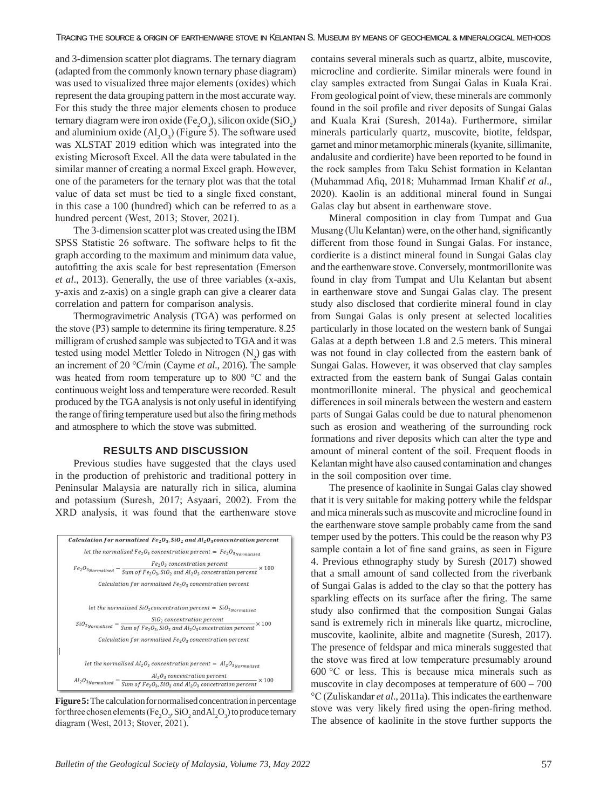and 3-dimension scatter plot diagrams. The ternary diagram (adapted from the commonly known ternary phase diagram) was used to visualized three major elements (oxides) which represent the data grouping pattern in the most accurate way. For this study the three major elements chosen to produce ternary diagram were iron oxide (Fe<sub>2</sub>O<sub>3</sub>), silicon oxide (SiO<sub>2</sub>) and aluminium oxide  $(Al_2O_3)$  (Figure 5). The software used was XLSTAT 2019 edition which was integrated into the existing Microsoft Excel. All the data were tabulated in the similar manner of creating a normal Excel graph. However, one of the parameters for the ternary plot was that the total value of data set must be tied to a single fixed constant, in this case a 100 (hundred) which can be referred to as a hundred percent (West, 2013; Stover, 2021).

The 3-dimension scatter plot was created using the IBM SPSS Statistic 26 software. The software helps to fit the graph according to the maximum and minimum data value, autofitting the axis scale for best representation (Emerson *et al*., 2013). Generally, the use of three variables (x-axis, y-axis and z-axis) on a single graph can give a clearer data correlation and pattern for comparison analysis.

Thermogravimetric Analysis (TGA) was performed on the stove (P3) sample to determine its firing temperature. 8.25 milligram of crushed sample was subjected to TGA and it was tested using model Mettler Toledo in Nitrogen  $(N_2)$  gas with an increment of 20 °C/min (Cayme *et al*., 2016). The sample was heated from room temperature up to 800 °C and the continuous weight loss and temperature were recorded. Result produced by the TGA analysis is not only useful in identifying the range of firing temperature used but also the firing methods and atmosphere to which the stove was submitted.

## **RESULTS AND DISCUSSION**

Previous studies have suggested that the clays used in the production of prehistoric and traditional pottery in Peninsular Malaysia are naturally rich in silica, alumina and potassium (Suresh, 2017; Asyaari, 2002). From the XRD analysis, it was found that the earthenware stove



**Figure 5:** The calculation for normalised concentration in percentage for three chosen elements (Fe<sub>2</sub>O<sub>3</sub>, SiO<sub>2</sub> and Al<sub>2</sub>O<sub>3</sub>) to produce ternary diagram (West, 2013; Stover, 2021).

contains several minerals such as quartz, albite, muscovite, microcline and cordierite. Similar minerals were found in clay samples extracted from Sungai Galas in Kuala Krai. From geological point of view, these minerals are commonly found in the soil profile and river deposits of Sungai Galas and Kuala Krai (Suresh, 2014a). Furthermore, similar minerals particularly quartz, muscovite, biotite, feldspar, garnet and minor metamorphic minerals (kyanite, sillimanite, andalusite and cordierite) have been reported to be found in the rock samples from Taku Schist formation in Kelantan (Muhammad Afiq, 2018; Muhammad Irman Khalif *et al*., 2020). Kaolin is an additional mineral found in Sungai Galas clay but absent in earthenware stove.

Mineral composition in clay from Tumpat and Gua Musang (Ulu Kelantan) were, on the other hand, significantly different from those found in Sungai Galas. For instance, cordierite is a distinct mineral found in Sungai Galas clay and the earthenware stove. Conversely, montmorillonite was found in clay from Tumpat and Ulu Kelantan but absent in earthenware stove and Sungai Galas clay. The present study also disclosed that cordierite mineral found in clay from Sungai Galas is only present at selected localities particularly in those located on the western bank of Sungai Galas at a depth between 1.8 and 2.5 meters. This mineral was not found in clay collected from the eastern bank of Sungai Galas. However, it was observed that clay samples extracted from the eastern bank of Sungai Galas contain montmorillonite mineral. The physical and geochemical differences in soil minerals between the western and eastern parts of Sungai Galas could be due to natural phenomenon such as erosion and weathering of the surrounding rock formations and river deposits which can alter the type and amount of mineral content of the soil. Frequent floods in Kelantan might have also caused contamination and changes in the soil composition over time.

The presence of kaolinite in Sungai Galas clay showed that it is very suitable for making pottery while the feldspar and mica minerals such as muscovite and microcline found in the earthenware stove sample probably came from the sand temper used by the potters. This could be the reason why P3 sample contain a lot of fine sand grains, as seen in Figure 4. Previous ethnography study by Suresh (2017) showed that a small amount of sand collected from the riverbank of Sungai Galas is added to the clay so that the pottery has sparkling effects on its surface after the firing. The same study also confirmed that the composition Sungai Galas sand is extremely rich in minerals like quartz, microcline, muscovite, kaolinite, albite and magnetite (Suresh, 2017). The presence of feldspar and mica minerals suggested that the stove was fired at low temperature presumably around 600 °C or less. This is because mica minerals such as muscovite in clay decomposes at temperature of 600 – 700 °C (Zuliskandar *et al*., 2011a). This indicates the earthenware stove was very likely fired using the open-firing method. The absence of kaolinite in the stove further supports the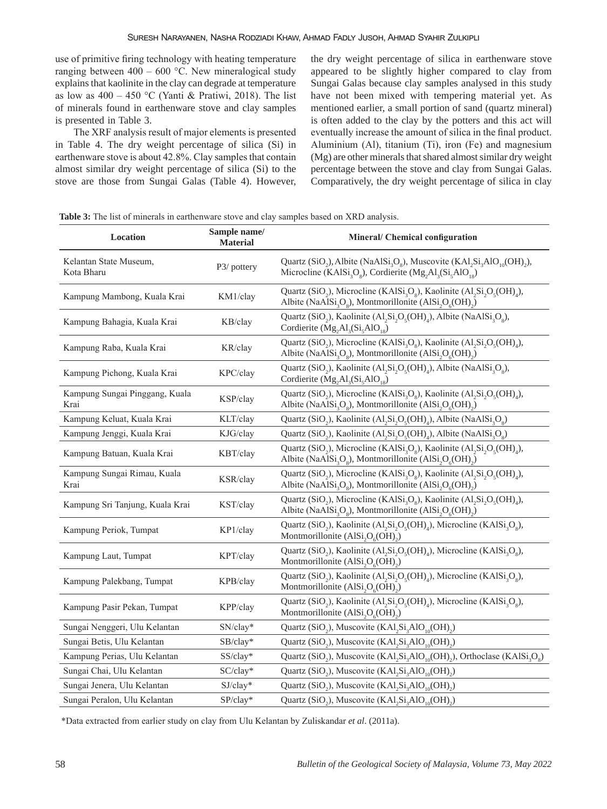use of primitive firing technology with heating temperature ranging between  $400 - 600$  °C. New mineralogical study explains that kaolinite in the clay can degrade at temperature as low as  $400 - 450$  °C (Yanti & Pratiwi, 2018). The list of minerals found in earthenware stove and clay samples is presented in Table 3.

The XRF analysis result of major elements is presented in Table 4. The dry weight percentage of silica (Si) in earthenware stove is about 42.8%. Clay samples that contain almost similar dry weight percentage of silica (Si) to the stove are those from Sungai Galas (Table 4). However, the dry weight percentage of silica in earthenware stove appeared to be slightly higher compared to clay from Sungai Galas because clay samples analysed in this study have not been mixed with tempering material yet. As mentioned earlier, a small portion of sand (quartz mineral) is often added to the clay by the potters and this act will eventually increase the amount of silica in the final product. Aluminium (Al), titanium (Ti), iron (Fe) and magnesium (Mg) are other minerals that shared almost similar dry weight percentage between the stove and clay from Sungai Galas. Comparatively, the dry weight percentage of silica in clay

**Table 3:** The list of minerals in earthenware stove and clay samples based on XRD analysis.

| Location                               | Sample name/<br><b>Material</b> | Mineral/ Chemical configuration                                                                                                                                                                                                                                                    |
|----------------------------------------|---------------------------------|------------------------------------------------------------------------------------------------------------------------------------------------------------------------------------------------------------------------------------------------------------------------------------|
| Kelantan State Museum,<br>Kota Bharu   | P3/ pottery                     | Quartz (SiO <sub>2</sub> ), Albite (NaAlSi <sub>3</sub> O <sub>2</sub> ), Muscovite (KAl <sub>2</sub> Si <sub>3</sub> AlO <sub>10</sub> (OH) <sub>2</sub> ),<br>Microcline (KAl $Si_3O_8$ ), Cordierite (Mg <sub>2</sub> Al <sub>3</sub> (Si <sub>5</sub> AlO <sub>18</sub> )      |
| Kampung Mambong, Kuala Krai            | KM1/clay                        | Quartz (SiO <sub>2</sub> ), Microcline (KAlSi <sub>3</sub> O <sub>2</sub> ), Kaolinite (Al <sub>2</sub> Si <sub>2</sub> O <sub>5</sub> (OH) <sub>4</sub> ),<br>Albite (NaAl $Si_3O_8$ ), Montmorillonite (Al $Si_2O_6(OH)$ <sub>2</sub> )                                          |
| Kampung Bahagia, Kuala Krai            | KB/clay                         | Quartz (SiO <sub>2</sub> ), Kaolinite (Al <sub>2</sub> Si <sub>2</sub> O <sub>5</sub> (OH) <sub>4</sub> ), Albite (NaAlSi <sub>3</sub> O <sub>8</sub> ),<br>Cordierite (Mg <sub>2</sub> Al <sub>3</sub> (Si <sub>5</sub> AlO <sub>18</sub> )                                       |
| Kampung Raba, Kuala Krai               | KR/clay                         | Quartz (SiO <sub>2</sub> ), Microcline (KAlSi <sub>3</sub> O <sub>2</sub> ), Kaolinite (Al <sub>2</sub> Si <sub>2</sub> O <sub>5</sub> (OH) <sub>4</sub> ),<br>Albite (NaAlSi <sub>3</sub> O <sub>s</sub> ), Montmorillonite (AlSi <sub>2</sub> O <sub>6</sub> (OH) <sub>2</sub> ) |
| Kampung Pichong, Kuala Krai            | KPC/clay                        | Quartz (SiO <sub>2</sub> ), Kaolinite (Al <sub>2</sub> Si <sub>2</sub> O <sub>5</sub> (OH) <sub>4</sub> ), Albite (NaAlSi <sub>3</sub> O <sub>8</sub> ),<br>Cordierite $(Mg, Al_3(Si, AlO_{18})$                                                                                   |
| Kampung Sungai Pinggang, Kuala<br>Krai | KSP/clay                        | Quartz (SiO <sub>2</sub> ), Microcline (KAlSi <sub>3</sub> O <sub>8</sub> ), Kaolinite (Al <sub>2</sub> Si <sub>2</sub> O <sub>5</sub> (OH) <sub>4</sub> ),<br>Albite (NaAlSi <sub>3</sub> O <sub>s</sub> ), Montmorillonite (AlSi <sub>2</sub> O <sub>6</sub> (OH) <sub>2</sub> ) |
| Kampung Keluat, Kuala Krai             | KLT/clay                        | Quartz (SiO <sub>2</sub> ), Kaolinite (Al <sub>2</sub> Si <sub>2</sub> O <sub>5</sub> (OH) <sub>4</sub> ), Albite (NaAlSi <sub>3</sub> O <sub>8</sub> )                                                                                                                            |
| Kampung Jenggi, Kuala Krai             | KJG/clay                        | Quartz (SiO <sub>2</sub> ), Kaolinite (Al <sub>2</sub> Si <sub>2</sub> O <sub>5</sub> (OH) <sub>4</sub> ), Albite (NaAlSi <sub>3</sub> O <sub>8</sub> )                                                                                                                            |
| Kampung Batuan, Kuala Krai             | KBT/clay                        | Quartz (SiO <sub>2</sub> ), Microcline (KAlSi <sub>2</sub> O <sub>2</sub> ), Kaolinite (Al <sub>2</sub> Si <sub>2</sub> O <sub>5</sub> (OH) <sub>4</sub> ),<br>Albite (NaAlSi <sub>3</sub> O <sub>g</sub> ), Montmorillonite (AlSi <sub>3</sub> O <sub>6</sub> (OH) <sub>2</sub> ) |
| Kampung Sungai Rimau, Kuala<br>Krai    | KSR/clay                        | Quartz (SiO <sub>2</sub> ), Microcline (KAlSi <sub>3</sub> O <sub>2</sub> ), Kaolinite (Al <sub>2</sub> Si <sub>2</sub> O <sub>5</sub> (OH) <sub>4</sub> ),<br>Albite (NaAlSi <sub>3</sub> O <sub>g</sub> ), Montmorillonite (AlSi <sub>3</sub> O <sub>6</sub> (OH) <sub>2</sub> ) |
| Kampung Sri Tanjung, Kuala Krai        | KST/clay                        | Quartz (SiO <sub>2</sub> ), Microcline (KAlSi <sub>3</sub> O <sub>2</sub> ), Kaolinite (Al <sub>3</sub> Si <sub>2</sub> O <sub>5</sub> (OH) <sub>4</sub> ),<br>Albite (NaAlSi <sub>3</sub> O <sub>s</sub> ), Montmorillonite (AlSi <sub>2</sub> O <sub>6</sub> (OH) <sub>2</sub> ) |
| Kampung Periok, Tumpat                 | KP1/clay                        | Quartz (SiO <sub>2</sub> ), Kaolinite (Al <sub>2</sub> Si <sub>2</sub> O <sub>5</sub> (OH) <sub>4</sub> ), Microcline (KAlSi <sub>3</sub> O <sub>2</sub> ),<br>Montmorillonite $(AISi2O6(OH)2)$                                                                                    |
| Kampung Laut, Tumpat                   | KPT/clay                        | Quartz (SiO <sub>2</sub> ), Kaolinite (Al, Si <sub>2</sub> O <sub>5</sub> (OH) <sub>4</sub> ), Microcline (KAlSi <sub>3</sub> O <sub>8</sub> ),<br>Montmorillonite $(AISi2O6(OH)2)$                                                                                                |
| Kampung Palekbang, Tumpat              | KPB/clay                        | Quartz (SiO <sub>2</sub> ), Kaolinite (Al <sub>2</sub> Si <sub>2</sub> O <sub>5</sub> (OH) <sub>4</sub> ), Microcline (KAlSi <sub>3</sub> O <sub>8</sub> ),<br>Montmorillonite $(AISi2O6(OH)2)$                                                                                    |
| Kampung Pasir Pekan, Tumpat            | KPP/clay                        | Quartz (SiO <sub>2</sub> ), Kaolinite (Al <sub>2</sub> Si <sub>2</sub> O <sub>5</sub> (OH) <sub>4</sub> ), Microcline (KAlSi <sub>3</sub> O <sub>8</sub> ),<br>Montmorillonite $(AISi2O6(OH)2)$                                                                                    |
| Sungai Nenggeri, Ulu Kelantan          | SN/clay*                        | Quartz (SiO <sub>2</sub> ), Muscovite (KAl <sub>2</sub> Si <sub>3</sub> AlO <sub>10</sub> (OH) <sub>2</sub> )                                                                                                                                                                      |
| Sungai Betis, Ulu Kelantan             | SB/clay*                        | Quartz (SiO <sub>2</sub> ), Muscovite (KAl <sub>2</sub> Si <sub>3</sub> AlO <sub>10</sub> (OH) <sub>2</sub> )                                                                                                                                                                      |
| Kampung Perias, Ulu Kelantan           | SS/clay*                        | Quartz (SiO <sub>2</sub> ), Muscovite (KAl <sub>2</sub> Si <sub>3</sub> AlO <sub>10</sub> (OH) <sub>2</sub> ), Orthoclase (KAlSi <sub>3</sub> O <sub>8</sub> )                                                                                                                     |
| Sungai Chai, Ulu Kelantan              | SC/clay*                        | Quartz (SiO <sub>2</sub> ), Muscovite (KAl <sub>2</sub> Si <sub>3</sub> AlO <sub>10</sub> (OH) <sub>2</sub> )                                                                                                                                                                      |
| Sungai Jenera, Ulu Kelantan            | SJ/clay*                        | Quartz (SiO <sub>2</sub> ), Muscovite (KAl <sub>2</sub> Si <sub>3</sub> AlO <sub>10</sub> (OH) <sub>2</sub> )                                                                                                                                                                      |
| Sungai Peralon, Ulu Kelantan           | SP/clay*                        | Quartz (SiO <sub>2</sub> ), Muscovite (KAl <sub>2</sub> Si <sub>2</sub> AlO <sub>10</sub> (OH) <sub>2</sub> )                                                                                                                                                                      |

\*Data extracted from earlier study on clay from Ulu Kelantan by Zuliskandar *et al*. (2011a).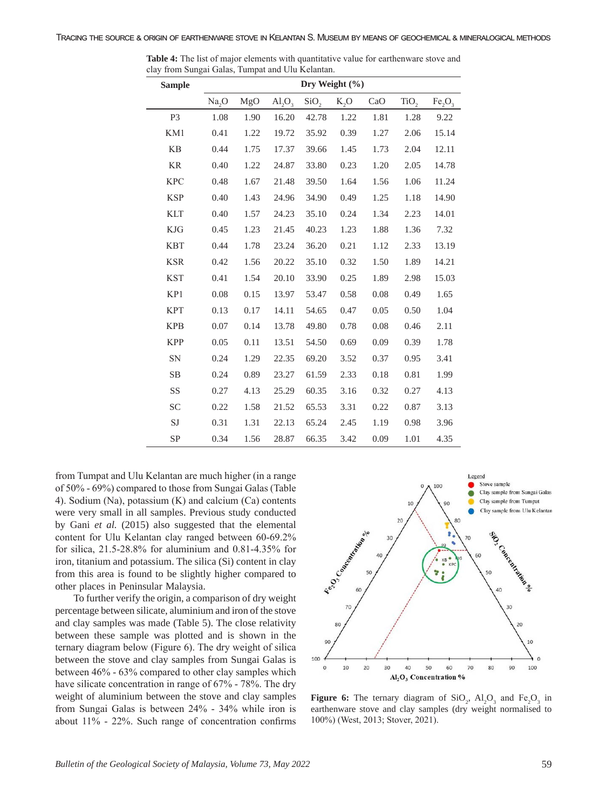| <b>Sample</b>  | Dry Weight (%) |      |                                |                  |        |      |                  |                                |  |
|----------------|----------------|------|--------------------------------|------------------|--------|------|------------------|--------------------------------|--|
|                | Na, O          | MgO  | AI <sub>2</sub> O <sub>3</sub> | SiO <sub>2</sub> | $K_2O$ | CaO  | TiO <sub>2</sub> | Fe <sub>2</sub> O <sub>3</sub> |  |
| P <sub>3</sub> | 1.08           | 1.90 | 16.20                          | 42.78            | 1.22   | 1.81 | 1.28             | 9.22                           |  |
| KM1            | 0.41           | 1.22 | 19.72                          | 35.92            | 0.39   | 1.27 | 2.06             | 15.14                          |  |
| <b>KB</b>      | 0.44           | 1.75 | 17.37                          | 39.66            | 1.45   | 1.73 | 2.04             | 12.11                          |  |
| <b>KR</b>      | 0.40           | 1.22 | 24.87                          | 33.80            | 0.23   | 1.20 | 2.05             | 14.78                          |  |
| <b>KPC</b>     | 0.48           | 1.67 | 21.48                          | 39.50            | 1.64   | 1.56 | 1.06             | 11.24                          |  |
| <b>KSP</b>     | 0.40           | 1.43 | 24.96                          | 34.90            | 0.49   | 1.25 | 1.18             | 14.90                          |  |
| <b>KLT</b>     | 0.40           | 1.57 | 24.23                          | 35.10            | 0.24   | 1.34 | 2.23             | 14.01                          |  |
| <b>KJG</b>     | 0.45           | 1.23 | 21.45                          | 40.23            | 1.23   | 1.88 | 1.36             | 7.32                           |  |
| <b>KBT</b>     | 0.44           | 1.78 | 23.24                          | 36.20            | 0.21   | 1.12 | 2.33             | 13.19                          |  |
| <b>KSR</b>     | 0.42           | 1.56 | 20.22                          | 35.10            | 0.32   | 1.50 | 1.89             | 14.21                          |  |
| <b>KST</b>     | 0.41           | 1.54 | 20.10                          | 33.90            | 0.25   | 1.89 | 2.98             | 15.03                          |  |
| KP1            | 0.08           | 0.15 | 13.97                          | 53.47            | 0.58   | 0.08 | 0.49             | 1.65                           |  |
| <b>KPT</b>     | 0.13           | 0.17 | 14.11                          | 54.65            | 0.47   | 0.05 | 0.50             | 1.04                           |  |
| <b>KPB</b>     | 0.07           | 0.14 | 13.78                          | 49.80            | 0.78   | 0.08 | 0.46             | 2.11                           |  |
| <b>KPP</b>     | 0.05           | 0.11 | 13.51                          | 54.50            | 0.69   | 0.09 | 0.39             | 1.78                           |  |
| SN             | 0.24           | 1.29 | 22.35                          | 69.20            | 3.52   | 0.37 | 0.95             | 3.41                           |  |
| <b>SB</b>      | 0.24           | 0.89 | 23.27                          | 61.59            | 2.33   | 0.18 | 0.81             | 1.99                           |  |
| SS             | 0.27           | 4.13 | 25.29                          | 60.35            | 3.16   | 0.32 | 0.27             | 4.13                           |  |
| <b>SC</b>      | 0.22           | 1.58 | 21.52                          | 65.53            | 3.31   | 0.22 | 0.87             | 3.13                           |  |
| SJ             | 0.31           | 1.31 | 22.13                          | 65.24            | 2.45   | 1.19 | 0.98             | 3.96                           |  |
| <b>SP</b>      | 0.34           | 1.56 | 28.87                          | 66.35            | 3.42   | 0.09 | 1.01             | 4.35                           |  |

**Table 4:** The list of major elements with quantitative value for earthenware stove and clay from Sungai Galas, Tumpat and Ulu Kelantan.

from Tumpat and Ulu Kelantan are much higher (in a range of 50% - 69%) compared to those from Sungai Galas (Table 4). Sodium (Na), potassium (K) and calcium (Ca) contents were very small in all samples. Previous study conducted by Gani *et al.* (2015) also suggested that the elemental content for Ulu Kelantan clay ranged between 60-69.2% for silica, 21.5-28.8% for aluminium and 0.81-4.35% for iron, titanium and potassium. The silica (Si) content in clay from this area is found to be slightly higher compared to other places in Peninsular Malaysia.

To further verify the origin, a comparison of dry weight percentage between silicate, aluminium and iron of the stove and clay samples was made (Table 5). The close relativity between these sample was plotted and is shown in the ternary diagram below (Figure 6). The dry weight of silica between the stove and clay samples from Sungai Galas is between 46% - 63% compared to other clay samples which have silicate concentration in range of 67% - 78%. The dry weight of aluminium between the stove and clay samples from Sungai Galas is between 24% - 34% while iron is about 11% - 22%. Such range of concentration confirms



**Figure 6:** The ternary diagram of  $SiO_2$ ,  $Al_2O_3$  and  $Fe_2O_3$  in earthenware stove and clay samples (dry weight normalised to 100%) (West, 2013; Stover, 2021).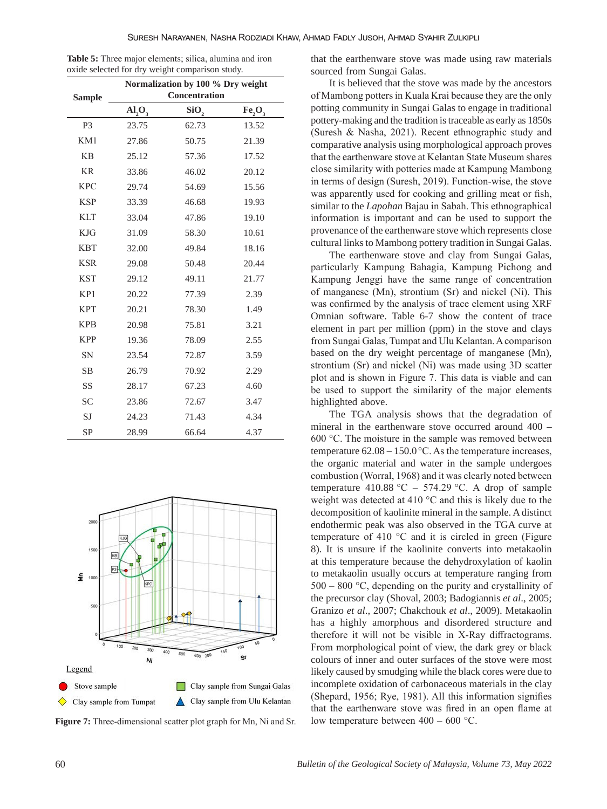| <b>Table 5:</b> Three major elements; silica, alumina and iron |  |  |  |
|----------------------------------------------------------------|--|--|--|
| oxide selected for dry weight comparison study.                |  |  |  |

|                |        | Normalization by 100 % Dry weight |                                |
|----------------|--------|-----------------------------------|--------------------------------|
| <b>Sample</b>  |        | Concentration                     |                                |
|                | AI, O, | SiO,                              | Fe <sub>2</sub> O <sub>3</sub> |
| P <sub>3</sub> | 23.75  | 62.73                             | 13.52                          |
| KM1            | 27.86  | 50.75                             | 21.39                          |
| <b>KB</b>      | 25.12  | 57.36                             | 17.52                          |
| <b>KR</b>      | 33.86  | 46.02                             | 20.12                          |
| <b>KPC</b>     | 29.74  | 54.69                             | 15.56                          |
| <b>KSP</b>     | 33.39  | 46.68                             | 19.93                          |
| <b>KLT</b>     | 33.04  | 47.86                             | 19.10                          |
| <b>KJG</b>     | 31.09  | 58.30                             | 10.61                          |
| <b>KBT</b>     | 32.00  | 49.84                             | 18.16                          |
| <b>KSR</b>     | 29.08  | 50.48                             | 20.44                          |
| <b>KST</b>     | 29.12  | 49.11                             | 21.77                          |
| KP1            | 20.22  | 77.39                             | 2.39                           |
| <b>KPT</b>     | 20.21  | 78.30                             | 1.49                           |
| <b>KPB</b>     | 20.98  | 75.81                             | 3.21                           |
| <b>KPP</b>     | 19.36  | 78.09                             | 2.55                           |
| <b>SN</b>      | 23.54  | 72.87                             | 3.59                           |
| <b>SB</b>      | 26.79  | 70.92                             | 2.29                           |
| SS             | 28.17  | 67.23                             | 4.60                           |
| <b>SC</b>      | 23.86  | 72.67                             | 3.47                           |
| SJ             | 24.23  | 71.43                             | 4.34                           |
| <b>SP</b>      | 28.99  | 66.64                             | 4.37                           |



**Figure 7:** Three-dimensional scatter plot graph for Mn, Ni and Sr.

that the earthenware stove was made using raw materials sourced from Sungai Galas.

It is believed that the stove was made by the ancestors of Mambong potters in Kuala Krai because they are the only potting community in Sungai Galas to engage in traditional pottery-making and the tradition is traceable as early as 1850s (Suresh & Nasha, 2021). Recent ethnographic study and comparative analysis using morphological approach proves that the earthenware stove at Kelantan State Museum shares close similarity with potteries made at Kampung Mambong in terms of design (Suresh, 2019). Function-wise, the stove was apparently used for cooking and grilling meat or fish, similar to the *Lapohan* Bajau in Sabah. This ethnographical information is important and can be used to support the provenance of the earthenware stove which represents close cultural links to Mambong pottery tradition in Sungai Galas.

The earthenware stove and clay from Sungai Galas, particularly Kampung Bahagia, Kampung Pichong and Kampung Jenggi have the same range of concentration of manganese (Mn), strontium (Sr) and nickel (Ni). This was confirmed by the analysis of trace element using XRF Omnian software. Table 6-7 show the content of trace element in part per million (ppm) in the stove and clays from Sungai Galas, Tumpat and Ulu Kelantan. A comparison based on the dry weight percentage of manganese (Mn), strontium (Sr) and nickel (Ni) was made using 3D scatter plot and is shown in Figure 7. This data is viable and can be used to support the similarity of the major elements highlighted above.

The TGA analysis shows that the degradation of mineral in the earthenware stove occurred around 400 – 600 °C. The moisture in the sample was removed between temperature  $62.08 - 150.0$  °C. As the temperature increases, the organic material and water in the sample undergoes combustion (Worral, 1968) and it was clearly noted between temperature 410.88 °C – 574.29 °C. A drop of sample weight was detected at 410 °C and this is likely due to the decomposition of kaolinite mineral in the sample. A distinct endothermic peak was also observed in the TGA curve at temperature of 410 °C and it is circled in green (Figure 8). It is unsure if the kaolinite converts into metakaolin at this temperature because the dehydroxylation of kaolin to metakaolin usually occurs at temperature ranging from  $500 - 800$  °C, depending on the purity and crystallinity of the precursor clay (Shoval, 2003; Badogiannis *et al*., 2005; Granizo *et al*., 2007; Chakchouk *et al*., 2009). Metakaolin has a highly amorphous and disordered structure and therefore it will not be visible in X-Ray diffractograms. From morphological point of view, the dark grey or black colours of inner and outer surfaces of the stove were most likely caused by smudging while the black cores were due to incomplete oxidation of carbonaceous materials in the clay (Shepard, 1956; Rye, 1981). All this information signifies that the earthenware stove was fired in an open flame at low temperature between  $400 - 600$  °C.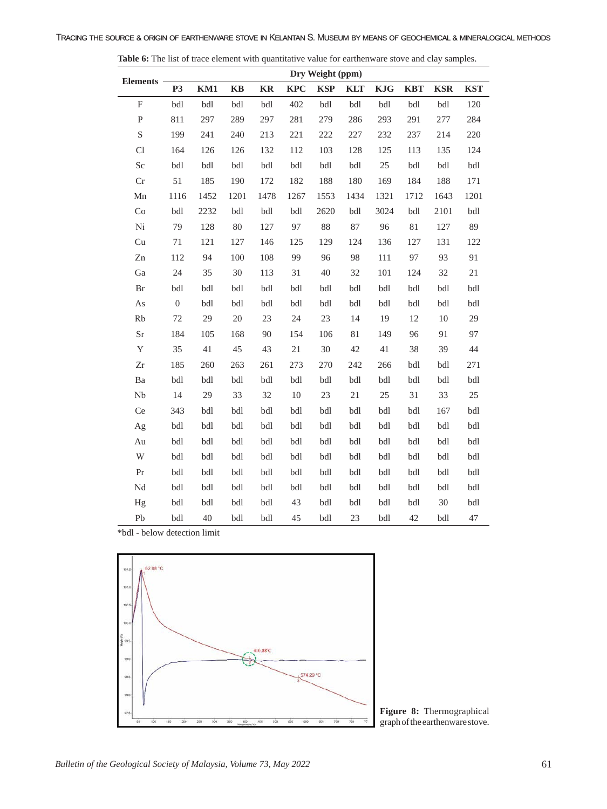|                         |                  |      |               |           |            | Dry Weight (ppm) |            |            |            |            |            |  |
|-------------------------|------------------|------|---------------|-----------|------------|------------------|------------|------------|------------|------------|------------|--|
| Elements -              | <b>P3</b>        | KM1  | $\mathbf{KB}$ | <b>KR</b> | <b>KPC</b> | <b>KSP</b>       | <b>KLT</b> | <b>KJG</b> | <b>KBT</b> | <b>KSR</b> | <b>KST</b> |  |
| $\mathbf F$             | bdl              | bdl  | bdl           | bdl       | 402        | bdl              | bdl        | bdl        | bdl        | bdl        | 120        |  |
| ${\bf P}$               | 811              | 297  | 289           | 297       | 281        | 279              | 286        | 293        | 291        | 277        | 284        |  |
| S                       | 199              | 241  | 240           | 213       | 221        | 222              | 227        | 232        | 237        | 214        | 220        |  |
| Cl                      | 164              | 126  | 126           | 132       | 112        | 103              | 128        | 125        | 113        | 135        | 124        |  |
| Sc                      | bdl              | bdl  | bdl           | bdl       | bdl        | bdl              | bdl        | $25\,$     | bdl        | bdl        | bdl        |  |
| Cr                      | 51               | 185  | 190           | 172       | 182        | 188              | 180        | 169        | 184        | 188        | 171        |  |
| Mn                      | 1116             | 1452 | 1201          | 1478      | 1267       | 1553             | 1434       | 1321       | 1712       | 1643       | 1201       |  |
| Co                      | bdl              | 2232 | bdl           | bdl       | bdl        | 2620             | bdl        | 3024       | bdl        | 2101       | bdl        |  |
| $\rm Ni$                | 79               | 128  | $80\,$        | 127       | 97         | $88\,$           | $87\,$     | 96         | $81\,$     | 127        | 89         |  |
| Cu                      | 71               | 121  | 127           | 146       | 125        | 129              | 124        | 136        | 127        | 131        | 122        |  |
| Zn                      | 112              | 94   | 100           | 108       | 99         | 96               | 98         | 111        | 97         | 93         | 91         |  |
| Ga                      | 24               | 35   | 30            | 113       | 31         | 40               | 32         | 101        | 124        | 32         | 21         |  |
| Br                      | bdl              | bdl  | bdl           | bdl       | bdl        | bdl              | bdl        | bdl        | bdl        | bdl        | bdl        |  |
| As                      | $\boldsymbol{0}$ | bdl  | bdl           | bdl       | bdl        | bdl              | bdl        | bdl        | bdl        | bdl        | bdl        |  |
| Rb                      | $72\,$           | 29   | $20\,$        | 23        | 24         | 23               | 14         | 19         | 12         | $10\,$     | 29         |  |
| Sr                      | 184              | 105  | 168           | 90        | 154        | 106              | $81\,$     | 149        | 96         | 91         | 97         |  |
| $\mathbf Y$             | 35               | 41   | 45            | 43        | 21         | 30               | 42         | 41         | 38         | 39         | 44         |  |
| Zr                      | 185              | 260  | 263           | 261       | 273        | 270              | 242        | 266        | bdl        | bdl        | 271        |  |
| Ba                      | bdl              | bdl  | bdl           | bdl       | bdl        | bdl              | bdl        | bdl        | bdl        | bdl        | bdl        |  |
| ${\rm Nb}$              | 14               | 29   | 33            | 32        | 10         | 23               | $21\,$     | 25         | 31         | 33         | 25         |  |
| Ce                      | 343              | bdl  | bdl           | bdl       | bdl        | bdl              | bdl        | bdl        | bdl        | 167        | bdl        |  |
| Ag                      | bdl              | bdl  | bdl           | bdl       | bdl        | bdl              | bdl        | bdl        | bdl        | bdl        | bdl        |  |
| Au                      | bdl              | bdl  | bdl           | bdl       | bdl        | bdl              | bdl        | bdl        | bdl        | bdl        | bdl        |  |
| $\ensuremath{\text{W}}$ | bdl              | bdl  | bdl           | bdl       | bdl        | bdl              | bdl        | bdl        | bdl        | bdl        | bdl        |  |
| Pr                      | bdl              | bdl  | bdl           | bdl       | bdl        | bdl              | bdl        | bdl        | bdl        | bdl        | bdl        |  |
| $\rm Nd$                | bdl              | bdl  | bdl           | bdl       | bdl        | bdl              | bdl        | bdl        | bdl        | bdl        | $bdl$      |  |
| Hg                      | bdl              | bdl  | bdl           | bdl       | 43         | bdl              | bdl        | bdl        | bdl        | 30         | bdl        |  |
| Pb                      | bdl              | 40   | bdl           | bdl       | 45         | bdl              | 23         | bdl        | 42         | bdl        | 47         |  |

**Table 6:** The list of trace element with quantitative value for earthenware stove and clay samples.

\*bdl - below detection limit

 $\overline{a}$ 



**Figure 8:** Thermographical graph of the earthenware stove.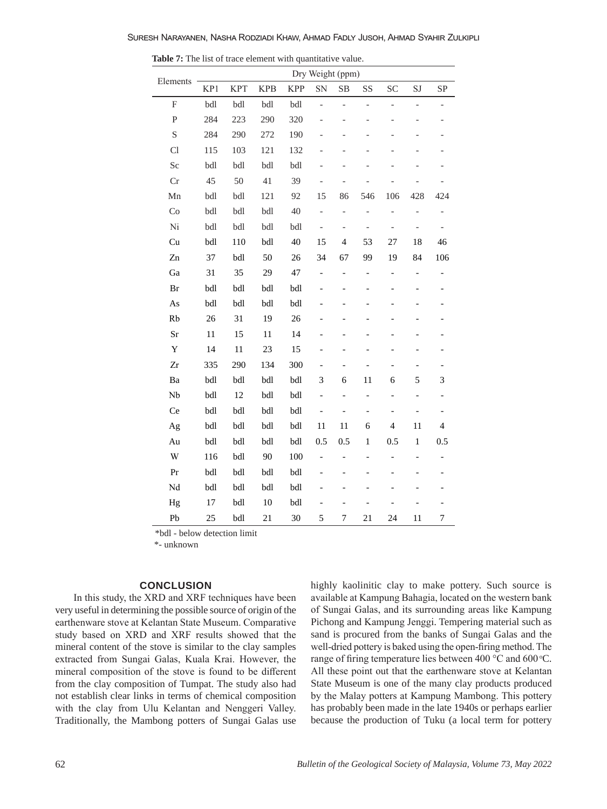|                           |     |            |            |            | Dry Weight (ppm)             |                          |                          |                          |                          |                          |
|---------------------------|-----|------------|------------|------------|------------------------------|--------------------------|--------------------------|--------------------------|--------------------------|--------------------------|
| Elements                  | KP1 | <b>KPT</b> | <b>KPB</b> | <b>KPP</b> | SN                           | SB                       | SS                       | SC                       | SJ                       | SP                       |
| $\boldsymbol{\mathrm{F}}$ | bdl | bdl        | bdl        | bdl        | $\overline{a}$               | $\overline{\phantom{0}}$ | $\overline{a}$           | $\frac{1}{2}$            | $\overline{a}$           | $\overline{\phantom{0}}$ |
| $\mathbf{P}$              | 284 | 223        | 290        | 320        | $\overline{\phantom{0}}$     | $\overline{a}$           | $\overline{a}$           | $\overline{a}$           | $\overline{\phantom{0}}$ | $\overline{\phantom{0}}$ |
| $\mathbf S$               | 284 | 290        | 272        | 190        |                              |                          |                          |                          |                          |                          |
| Cl                        | 115 | 103        | 121        | 132        |                              |                          |                          |                          |                          |                          |
| Sc                        | bdl | bdl        | bdl        | bdl        |                              |                          |                          |                          |                          |                          |
| Cr                        | 45  | 50         | 41         | 39         | $\qquad \qquad -$            | $\overline{a}$           |                          |                          |                          |                          |
| Mn                        | bdl | bdl        | 121        | 92         | 15                           | 86                       | 546                      | 106                      | 428                      | 424                      |
| Co                        | bdl | bdl        | bdl        | 40         | $\qquad \qquad -$            | $\overline{\phantom{0}}$ | $\overline{a}$           | $\overline{a}$           | $\overline{a}$           | $\qquad \qquad -$        |
| Ni                        | bdl | bdl        | bdl        | bdl        | $\overline{a}$               | $\overline{\phantom{m}}$ | $\overline{a}$           | $\overline{\phantom{0}}$ | $\overline{a}$           | $\overline{\phantom{0}}$ |
| Cu                        | bdl | 110        | bdl        | 40         | 15                           | $\overline{4}$           | 53                       | 27                       | 18                       | 46                       |
| Zn                        | 37  | bdl        | 50         | 26         | 34                           | 67                       | 99                       | 19                       | 84                       | 106                      |
| Ga                        | 31  | 35         | 29         | 47         | $\overline{\phantom{0}}$     | $\overline{a}$           | $\overline{a}$           | $\blacksquare$           | $\qquad \qquad -$        | $\qquad \qquad -$        |
| Br                        | bdl | bdl        | bdl        | bdl        | $\overline{a}$               | $\overline{a}$           | $\overline{a}$           | $\overline{a}$           | $\overline{a}$           |                          |
| As                        | bdl | bdl        | bdl        | bdl        | $\overline{a}$               |                          |                          | $\overline{a}$           | $\overline{a}$           | $\overline{a}$           |
| Rb                        | 26  | 31         | 19         | 26         |                              |                          |                          |                          |                          |                          |
| Sr                        | 11  | 15         | 11         | 14         | $\overline{\phantom{0}}$     |                          |                          |                          | $\overline{\phantom{0}}$ |                          |
| Y                         | 14  | 11         | 23         | 15         | $\overline{\phantom{0}}$     | $\overline{a}$           |                          | $\overline{\phantom{0}}$ | $\overline{\phantom{0}}$ |                          |
| Zr                        | 335 | 290        | 134        | 300        | $\overline{a}$               | $\overline{\phantom{0}}$ | $\overline{a}$           | $\overline{\phantom{0}}$ | $\overline{\phantom{0}}$ |                          |
| Ba                        | bdl | bdl        | bdl        | bdl        | 3                            | 6                        | 11                       | 6                        | 5                        | 3                        |
| Nb                        | bdl | 12         | bdl        | bdl        | $\overline{a}$               | $\overline{a}$           | $\overline{a}$           | $\overline{a}$           | $\overline{\phantom{0}}$ | $\overline{\phantom{0}}$ |
| Ce                        | bdl | bdl        | bdl        | bdl        | -                            | $\overline{a}$           | -                        | $\overline{\phantom{0}}$ | -                        | -                        |
| Ag                        | bdl | bdl        | bdl        | bdl        | 11                           | 11                       | 6                        | $\overline{\mathcal{L}}$ | 11                       | $\overline{4}$           |
| Au                        | bdl | bdl        | bdl        | bdl        | 0.5                          | 0.5                      | $\mathbf{1}$             | 0.5                      | $\,1$                    | 0.5                      |
| W                         | 116 | bdl        | 90         | 100        | $\overline{a}$               | $\overline{a}$           | $\overline{a}$           | $\overline{a}$           | $\overline{a}$           | $\overline{\phantom{0}}$ |
| Pr                        | bdl | bdl        | bdl        | bdl        | $\qquad \qquad \blacksquare$ | $\overline{\phantom{0}}$ | $\overline{\phantom{0}}$ | $\overline{\phantom{0}}$ | $\overline{\phantom{0}}$ | -                        |
| Nd                        | bdl | bdl        | bdl        | bdl        |                              |                          |                          |                          |                          |                          |
| Hg                        | 17  | bdl        | 10         | bdl        | $\overline{\phantom{0}}$     |                          |                          | $\overline{\phantom{0}}$ |                          |                          |
| Pb                        | 25  | bdl        | 21         | 30         | 5                            | 7                        | 21                       | 24                       | 11                       | 7                        |

**Table 7:** The list of trace element with quantitative value.

\*bdl - below detection limit

\*- unknown

#### **CONCLUSION**

In this study, the XRD and XRF techniques have been very useful in determining the possible source of origin of the earthenware stove at Kelantan State Museum. Comparative study based on XRD and XRF results showed that the mineral content of the stove is similar to the clay samples extracted from Sungai Galas, Kuala Krai. However, the mineral composition of the stove is found to be different from the clay composition of Tumpat. The study also had not establish clear links in terms of chemical composition with the clay from Ulu Kelantan and Nenggeri Valley. Traditionally, the Mambong potters of Sungai Galas use highly kaolinitic clay to make pottery. Such source is available at Kampung Bahagia, located on the western bank of Sungai Galas, and its surrounding areas like Kampung Pichong and Kampung Jenggi. Tempering material such as sand is procured from the banks of Sungai Galas and the well-dried pottery is baked using the open-firing method. The range of firing temperature lies between 400  $^{\circ}$ C and 600  $^{\circ}$ C. All these point out that the earthenware stove at Kelantan State Museum is one of the many clay products produced by the Malay potters at Kampung Mambong. This pottery has probably been made in the late 1940s or perhaps earlier because the production of Tuku (a local term for pottery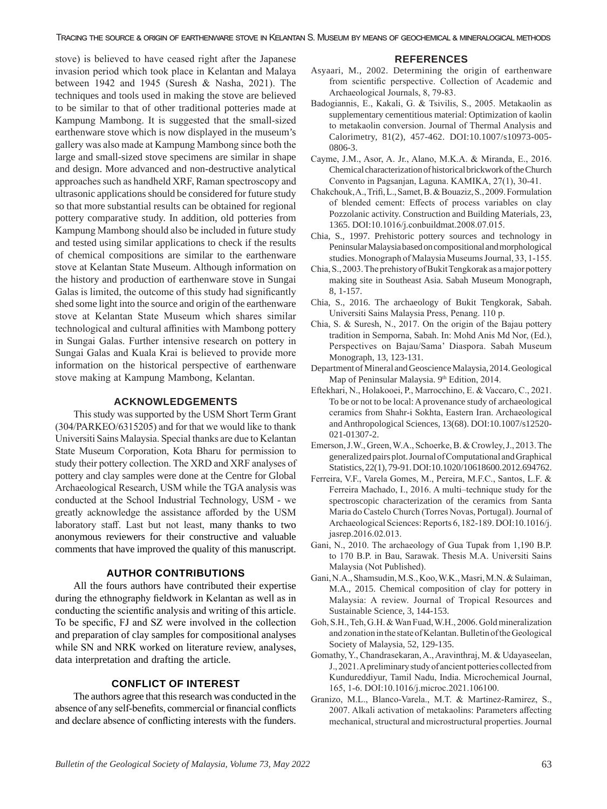Tracing the source & origin of earthenware stove in Kelantan S. Museum by means of geochemical & mineralogical methods

stove) is believed to have ceased right after the Japanese invasion period which took place in Kelantan and Malaya between 1942 and 1945 (Suresh & Nasha, 2021). The techniques and tools used in making the stove are believed to be similar to that of other traditional potteries made at Kampung Mambong. It is suggested that the small-sized earthenware stove which is now displayed in the museum's gallery was also made at Kampung Mambong since both the large and small-sized stove specimens are similar in shape and design. More advanced and non-destructive analytical approaches such as handheld XRF, Raman spectroscopy and ultrasonic applications should be considered for future study so that more substantial results can be obtained for regional pottery comparative study. In addition, old potteries from Kampung Mambong should also be included in future study and tested using similar applications to check if the results of chemical compositions are similar to the earthenware stove at Kelantan State Museum. Although information on the history and production of earthenware stove in Sungai Galas is limited, the outcome of this study had significantly shed some light into the source and origin of the earthenware stove at Kelantan State Museum which shares similar technological and cultural affinities with Mambong pottery in Sungai Galas. Further intensive research on pottery in Sungai Galas and Kuala Krai is believed to provide more information on the historical perspective of earthenware stove making at Kampung Mambong, Kelantan.

## **ACKNOWLEDGEMENTS**

This study was supported by the USM Short Term Grant (304/PARKEO/6315205) and for that we would like to thank Universiti Sains Malaysia. Special thanks are due to Kelantan State Museum Corporation, Kota Bharu for permission to study their pottery collection. The XRD and XRF analyses of pottery and clay samples were done at the Centre for Global Archaeological Research, USM while the TGA analysis was conducted at the School Industrial Technology, USM - we greatly acknowledge the assistance afforded by the USM laboratory staff. Last but not least, many thanks to two anonymous reviewers for their constructive and valuable comments that have improved the quality of this manuscript.

#### **AUTHOR CONTRIBUTIONS**

All the fours authors have contributed their expertise during the ethnography fieldwork in Kelantan as well as in conducting the scientific analysis and writing of this article. To be specific, FJ and SZ were involved in the collection and preparation of clay samples for compositional analyses while SN and NRK worked on literature review, analyses, data interpretation and drafting the article.

#### **CONFLICT OF INTEREST**

The authors agree that this research was conducted in the absence of any self-benefits, commercial or financial conflicts and declare absence of conflicting interests with the funders.

### **REFERENCES**

- Asyaari, M., 2002. Determining the origin of earthenware from scientific perspective. Collection of Academic and Archaeological Journals, 8, 79-83.
- Badogiannis, E., Kakali, G. & Tsivilis, S., 2005. Metakaolin as supplementary cementitious material: Optimization of kaolin to metakaolin conversion. Journal of Thermal Analysis and Calorimetry, 81(2), 457-462. DOI:10.1007/s10973-005- 0806-3.
- Cayme, J.M., Asor, A. Jr., Alano, M.K.A. & Miranda, E., 2016. Chemical characterization of historical brickwork of the Church Convento in Pagsanjan, Laguna. KAMIKA, 27(1), 30-41.
- Chakchouk, A., Trifi, L., Samet, B. & Bouaziz, S., 2009. Formulation of blended cement: Effects of process variables on clay Pozzolanic activity. Construction and Building Materials, 23, 1365. DOI:10.1016/j.conbuildmat.2008.07.015.
- Chia, S., 1997. Prehistoric pottery sources and technology in Peninsular Malaysia based on compositional and morphological studies. Monograph of Malaysia Museums Journal, 33, 1-155.
- Chia, S., 2003. The prehistory of Bukit Tengkorak as a major pottery making site in Southeast Asia. Sabah Museum Monograph, 8, 1-157.
- Chia, S., 2016. The archaeology of Bukit Tengkorak, Sabah. Universiti Sains Malaysia Press, Penang. 110 p.
- Chia, S. & Suresh, N., 2017. On the origin of the Bajau pottery tradition in Semporna, Sabah. In: Mohd Anis Md Nor, (Ed.), Perspectives on Bajau/Sama' Diaspora. Sabah Museum Monograph, 13, 123-131.
- Department of Mineral and Geoscience Malaysia, 2014. Geological Map of Peninsular Malaysia. 9th Edition, 2014.
- Eftekhari, N., Holakooei, P., Marrocchino, E. & Vaccaro, C., 2021. To be or not to be local: A provenance study of archaeological ceramics from Shahr-i Sokhta, Eastern Iran. Archaeological and Anthropological Sciences, 13(68). DOI:10.1007/s12520- 021-01307-2.
- Emerson, J.W., Green, W.A., Schoerke, B. & Crowley, J., 2013. The generalized pairs plot. Journal of Computational and Graphical Statistics, 22(1), 79-91. DOI:10.1020/10618600.2012.694762.
- Ferreira, V.F., Varela Gomes, M., Pereira, M.F.C., Santos, L.F. & Ferreira Machado, I., 2016. A multi–technique study for the spectroscopic characterization of the ceramics from Santa Maria do Castelo Church (Torres Novas, Portugal). Journal of Archaeological Sciences: Reports 6, 182-189. DOI:10.1016/j. jasrep.2016.02.013.
- Gani, N., 2010. The archaeology of Gua Tupak from 1,190 B.P. to 170 B.P. in Bau, Sarawak. Thesis M.A. Universiti Sains Malaysia (Not Published).
- Gani, N.A., Shamsudin, M.S., Koo, W.K., Masri, M.N. & Sulaiman, M.A., 2015. Chemical composition of clay for pottery in Malaysia: A review. Journal of Tropical Resources and Sustainable Science, 3, 144-153.
- Goh, S.H., Teh, G.H. & Wan Fuad, W.H., 2006. Gold mineralization and zonation in the state of Kelantan. Bulletin of the Geological Society of Malaysia, 52, 129-135.
- Gomathy, Y., Chandrasekaran, A., Aravinthraj, M. & Udayaseelan, J., 2021. A preliminary study of ancient potteries collected from Kundureddiyur, Tamil Nadu, India. Microchemical Journal, 165, 1-6. DOI:10.1016/j.microc.2021.106100.
- Granizo, M.L., Blanco-Varela., M.T. & Martinez-Ramirez, S., 2007. Alkali activation of metakaolins: Parameters affecting mechanical, structural and microstructural properties. Journal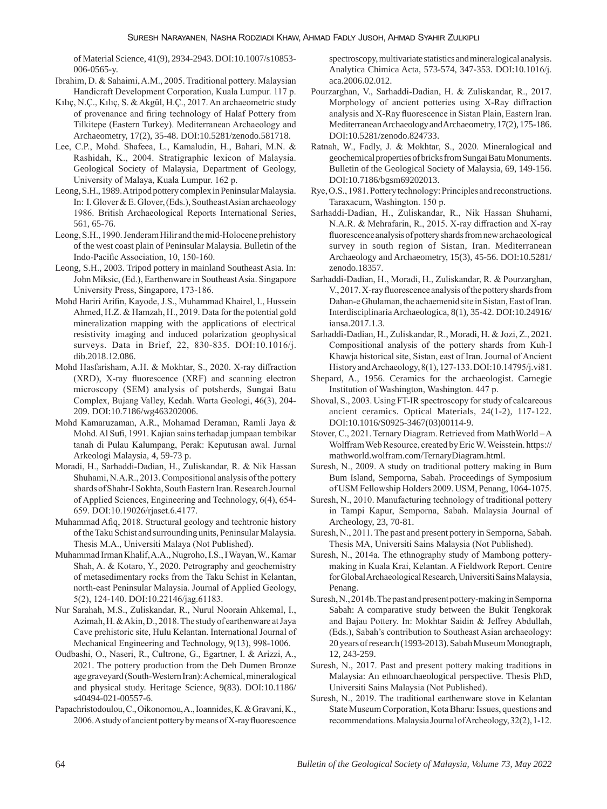of Material Science, 41(9), 2934-2943. DOI:10.1007/s10853- 006-0565-y.

- Ibrahim, D. & Sahaimi, A.M., 2005. Traditional pottery. Malaysian Handicraft Development Corporation, Kuala Lumpur. 117 p.
- Kılıç, N.Ç., Kılıç, S. & Akgül, H.Ç., 2017. An archaeometric study of provenance and firing technology of Halaf Pottery from Tilkitepe (Eastern Turkey). Mediterranean Archaeology and Archaeometry, 17(2), 35-48. DOI:10.5281/zenodo.581718.
- Lee, C.P., Mohd. Shafeea, L., Kamaludin, H., Bahari, M.N. & Rashidah, K., 2004. Stratigraphic lexicon of Malaysia. Geological Society of Malaysia, Department of Geology, University of Malaya, Kuala Lumpur. 162 p.
- Leong, S.H., 1989. A tripod pottery complex in Peninsular Malaysia. In: I. Glover & E. Glover, (Eds.), Southeast Asian archaeology 1986. British Archaeological Reports International Series, 561, 65-76.
- Leong, S.H., 1990. Jenderam Hilir and the mid-Holocene prehistory of the west coast plain of Peninsular Malaysia. Bulletin of the Indo-Pacific Association, 10, 150-160.
- Leong, S.H., 2003. Tripod pottery in mainland Southeast Asia. In: John Miksic, (Ed.), Earthenware in Southeast Asia. Singapore University Press, Singapore, 173-186.
- Mohd Hariri Arifin, Kayode, J.S., Muhammad Khairel, I., Hussein Ahmed, H.Z. & Hamzah, H., 2019. Data for the potential gold mineralization mapping with the applications of electrical resistivity imaging and induced polarization geophysical surveys. Data in Brief, 22, 830-835. DOI:10.1016/j. dib.2018.12.086.
- Mohd Hasfarisham, A.H. & Mokhtar, S., 2020. X-ray diffraction (XRD), X-ray fluorescence (XRF) and scanning electron microscopy (SEM) analysis of potsherds, Sungai Batu Complex, Bujang Valley, Kedah. Warta Geologi, 46(3), 204- 209. DOI:10.7186/wg463202006.
- Mohd Kamaruzaman, A.R., Mohamad Deraman, Ramli Jaya & Mohd. Al Sufi, 1991. Kajian sains terhadap jumpaan tembikar tanah di Pulau Kalumpang, Perak: Keputusan awal. Jurnal Arkeologi Malaysia, 4, 59-73 p.
- Moradi, H., Sarhaddi-Dadian, H., Zuliskandar, R. & Nik Hassan Shuhami, N.A.R., 2013. Compositional analysis of the pottery shards of Shahr-I Sokhta, South Eastern Iran. Research Journal of Applied Sciences, Engineering and Technology, 6(4), 654- 659. DOI:10.19026/rjaset.6.4177.
- Muhammad Afiq, 2018. Structural geology and techtronic history of the Taku Schist and surrounding units, Peninsular Malaysia. Thesis M.A., Universiti Malaya (Not Published).
- Muhammad Irman Khalif, A.A., Nugroho, I.S., I Wayan, W., Kamar Shah, A. & Kotaro, Y., 2020. Petrography and geochemistry of metasedimentary rocks from the Taku Schist in Kelantan, north-east Peninsular Malaysia. Journal of Applied Geology, 5(2), 124-140. DOI:10.22146/jag.61183.
- Nur Sarahah, M.S., Zuliskandar, R., Nurul Noorain Ahkemal, I., Azimah, H. & Akin, D., 2018. The study of earthenware at Jaya Cave prehistoric site, Hulu Kelantan. International Journal of Mechanical Engineering and Technology, 9(13), 998-1006.
- Oudbashi, O., Naseri, R., Cultrone, G., Egartner, I. & Arizzi, A., 2021. The pottery production from the Deh Dumen Bronze age graveyard (South-Western Iran): A chemical, mineralogical and physical study. Heritage Science, 9(83). DOI:10.1186/ s40494-021-00557-6.
- Papachristodoulou, C., Oikonomou, A., Ioannides, K. & Gravani, K., 2006. A study of ancient pottery by means of X-ray fluorescence

spectroscopy, multivariate statistics and mineralogical analysis. Analytica Chimica Acta, 573-574, 347-353. DOI:10.1016/j. aca.2006.02.012.

- Pourzarghan, V., Sarhaddi-Dadian, H. & Zuliskandar, R., 2017. Morphology of ancient potteries using X-Ray diffraction analysis and X-Ray fluorescence in Sistan Plain, Eastern Iran. Mediterranean Archaeology and Archaeometry, 17(2), 175-186. DOI:10.5281/zenodo.824733.
- Ratnah, W., Fadly, J. & Mokhtar, S., 2020. Mineralogical and geochemical properties of bricks from Sungai Batu Monuments. Bulletin of the Geological Society of Malaysia, 69, 149-156. DOI:10.7186/bgsm69202013.
- Rye, O.S., 1981. Pottery technology: Principles and reconstructions. Taraxacum, Washington. 150 p.
- Sarhaddi-Dadian, H., Zuliskandar, R., Nik Hassan Shuhami, N.A.R. & Mehrafarin, R., 2015. X-ray diffraction and X-ray fluorescence analysis of pottery shards from new archaeological survey in south region of Sistan, Iran. Mediterranean Archaeology and Archaeometry, 15(3), 45-56. DOI:10.5281/ zenodo.18357.
- Sarhaddi-Dadian, H., Moradi, H., Zuliskandar, R. & Pourzarghan, V., 2017. X-ray fluorescence analysis of the pottery shards from Dahan-e Ghulaman, the achaemenid site in Sistan, East of Iran. Interdisciplinaria Archaeologica, 8(1), 35-42. DOI:10.24916/ iansa.2017.1.3.
- Sarhaddi-Dadian, H., Zuliskandar, R., Moradi, H. & Jozi, Z., 2021. Compositional analysis of the pottery shards from Kuh-I Khawja historical site, Sistan, east of Iran. Journal of Ancient History and Archaeology, 8(1), 127-133. DOI:10.14795/j.vi81.
- Shepard, A., 1956. Ceramics for the archaeologist. Carnegie Institution of Washington, Washington. 447 p.
- Shoval, S., 2003. Using FT-IR spectroscopy for study of calcareous ancient ceramics. Optical Materials, 24(1-2), 117-122. DOI:10.1016/S0925-3467(03)00114-9.
- Stover, C., 2021. Ternary Diagram. Retrieved from MathWorld A Wolffram Web Resource, created by Eric W. Weisstein. https:// mathworld.wolfram.com/TernaryDiagram.html.
- Suresh, N., 2009. A study on traditional pottery making in Bum Bum Island, Semporna, Sabah. Proceedings of Symposium of USM Fellowship Holders 2009. USM, Penang, 1064-1075.
- Suresh, N., 2010. Manufacturing technology of traditional pottery in Tampi Kapur, Semporna, Sabah. Malaysia Journal of Archeology, 23, 70-81.
- Suresh, N., 2011. The past and present pottery in Semporna, Sabah. Thesis MA, Universiti Sains Malaysia (Not Published).
- Suresh, N., 2014a. The ethnography study of Mambong potterymaking in Kuala Krai, Kelantan. A Fieldwork Report. Centre for Global Archaeological Research, Universiti Sains Malaysia, Penang.
- Suresh, N., 2014b. The past and present pottery-making in Semporna Sabah: A comparative study between the Bukit Tengkorak and Bajau Pottery. In: Mokhtar Saidin & Jeffrey Abdullah, (Eds.), Sabah's contribution to Southeast Asian archaeology: 20 years of research (1993-2013). Sabah Museum Monograph, 12, 243-259.
- Suresh, N., 2017. Past and present pottery making traditions in Malaysia: An ethnoarchaeological perspective. Thesis PhD, Universiti Sains Malaysia (Not Published).
- Suresh, N., 2019. The traditional earthenware stove in Kelantan State Museum Corporation, Kota Bharu: Issues, questions and recommendations. Malaysia Journal of Archeology, 32(2), 1-12.